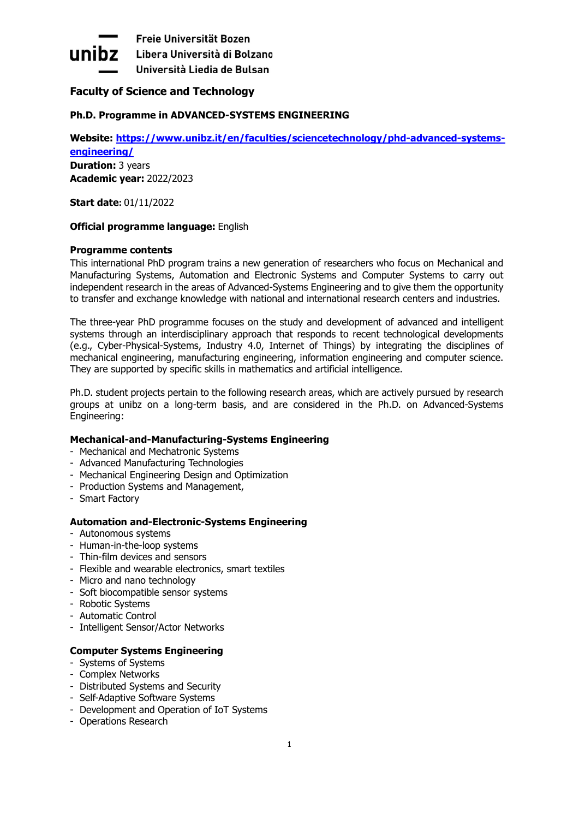

Freie Universität Bozen Libera Università di Bolzano Università Liedia de Bulsan

# **Faculty of Science and Technology**

## **Ph.D. Programme in ADVANCED-SYSTEMS ENGINEERING**

**Website: [https://www.unibz.it/en/faculties/sciencetechnology/phd-advanced-systems](https://www.unibz.it/en/faculties/sciencetechnology/phd-advanced-systems-engineering/)[engineering/](https://www.unibz.it/en/faculties/sciencetechnology/phd-advanced-systems-engineering/)  Duration:** 3 years **Academic year:** 2022/2023

**Start date:** 01/11/2022

### **Official programme language:** English

### **Programme contents**

This international PhD program trains a new generation of researchers who focus on Mechanical and Manufacturing Systems, Automation and Electronic Systems and Computer Systems to carry out independent research in the areas of Advanced-Systems Engineering and to give them the opportunity to transfer and exchange knowledge with national and international research centers and industries.

The three-year PhD programme focuses on the study and development of advanced and intelligent systems through an interdisciplinary approach that responds to recent technological developments (e.g., Cyber-Physical-Systems, Industry 4.0, Internet of Things) by integrating the disciplines of mechanical engineering, manufacturing engineering, information engineering and computer science. They are supported by specific skills in mathematics and artificial intelligence.

Ph.D. student projects pertain to the following research areas, which are actively pursued by research groups at unibz on a long-term basis, and are considered in the Ph.D. on Advanced-Systems Engineering:

### **Mechanical-and-Manufacturing-Systems Engineering**

- Mechanical and Mechatronic Systems
- Advanced Manufacturing Technologies
- Mechanical Engineering Design and Optimization
- Production Systems and Management,
- Smart Factory

### **Automation and-Electronic-Systems Engineering**

- Autonomous systems
- Human-in-the-loop systems
- Thin-film devices and sensors
- Flexible and wearable electronics, smart textiles
- Micro and nano technology
- Soft biocompatible sensor systems
- Robotic Systems
- Automatic Control
- Intelligent Sensor/Actor Networks

### **Computer Systems Engineering**

- Systems of Systems
- Complex Networks
- Distributed Systems and Security
- Self-Adaptive Software Systems
- Development and Operation of IoT Systems
- Operations Research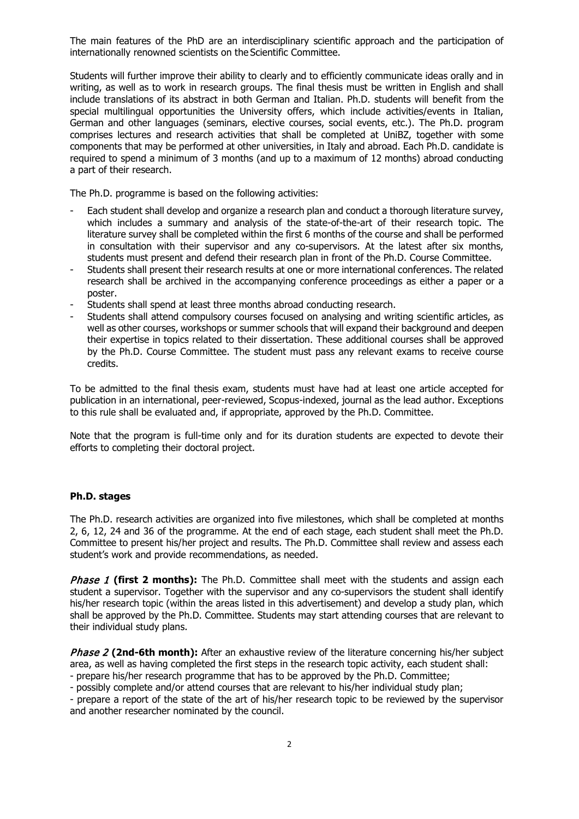The main features of the PhD are an interdisciplinary scientific approach and the participation of internationally renowned scientists on the Scientific Committee.

Students will further improve their ability to clearly and to efficiently communicate ideas orally and in writing, as well as to work in research groups. The final thesis must be written in English and shall include translations of its abstract in both German and Italian. Ph.D. students will benefit from the special multilingual opportunities the University offers, which include activities/events in Italian, German and other languages (seminars, elective courses, social events, etc.). The Ph.D. program comprises lectures and research activities that shall be completed at UniBZ, together with some components that may be performed at other universities, in Italy and abroad. Each Ph.D. candidate is required to spend a minimum of 3 months (and up to a maximum of 12 months) abroad conducting a part of their research.

The Ph.D. programme is based on the following activities:

- Each student shall develop and organize a research plan and conduct a thorough literature survey, which includes a summary and analysis of the state-of-the-art of their research topic. The literature survey shall be completed within the first 6 months of the course and shall be performed in consultation with their supervisor and any co-supervisors. At the latest after six months, students must present and defend their research plan in front of the Ph.D. Course Committee.
- Students shall present their research results at one or more international conferences. The related research shall be archived in the accompanying conference proceedings as either a paper or a poster.
- Students shall spend at least three months abroad conducting research.
- Students shall attend compulsory courses focused on analysing and writing scientific articles, as well as other courses, workshops or summer schools that will expand their background and deepen their expertise in topics related to their dissertation. These additional courses shall be approved by the Ph.D. Course Committee. The student must pass any relevant exams to receive course credits.

To be admitted to the final thesis exam, students must have had at least one article accepted for publication in an international, peer-reviewed, Scopus-indexed, journal as the lead author. Exceptions to this rule shall be evaluated and, if appropriate, approved by the Ph.D. Committee.

Note that the program is full-time only and for its duration students are expected to devote their efforts to completing their doctoral project.

#### **Ph.D. stages**

The Ph.D. research activities are organized into five milestones, which shall be completed at months 2, 6, 12, 24 and 36 of the programme. At the end of each stage, each student shall meet the Ph.D. Committee to present his/her project and results. The Ph.D. Committee shall review and assess each student's work and provide recommendations, as needed.

Phase 1 (first 2 months): The Ph.D. Committee shall meet with the students and assign each student a supervisor. Together with the supervisor and any co-supervisors the student shall identify his/her research topic (within the areas listed in this advertisement) and develop a study plan, which shall be approved by the Ph.D. Committee. Students may start attending courses that are relevant to their individual study plans.

**Phase 2 (2nd-6th month):** After an exhaustive review of the literature concerning his/her subject area, as well as having completed the first steps in the research topic activity, each student shall: - prepare his/her research programme that has to be approved by the Ph.D. Committee;

- possibly complete and/or attend courses that are relevant to his/her individual study plan;

- prepare a report of the state of the art of his/her research topic to be reviewed by the supervisor and another researcher nominated by the council.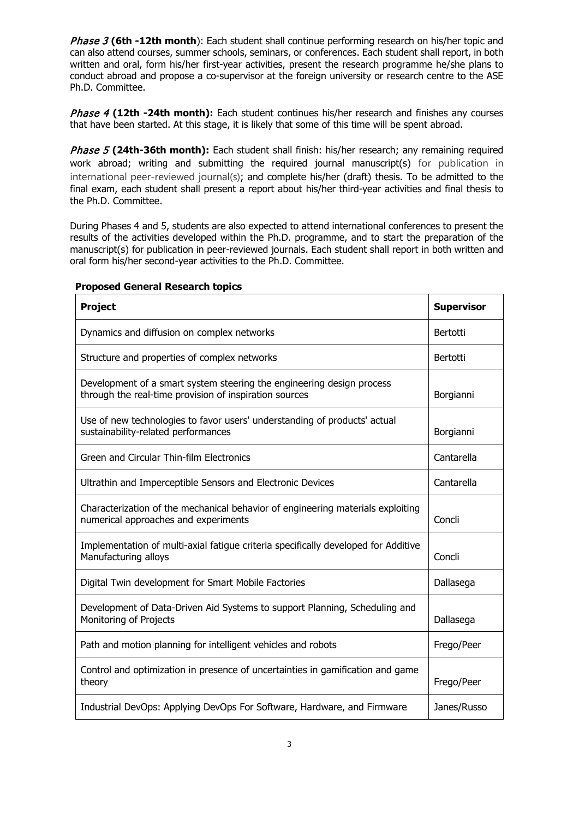*Phase 3* **(6th -12th month**): Each student shall continue performing research on his/her topic and can also attend courses, summer schools, seminars, or conferences. Each student shall report, in both written and oral, form his/her first-year activities, present the research programme he/she plans to conduct abroad and propose a co-supervisor at the foreign university or research centre to the ASE Ph.D. Committee.

Phase 4 **(12th -24th month):** Each student continues his/her research and finishes any courses that have been started. At this stage, it is likely that some of this time will be spent abroad.

**Phase 5 (24th-36th month):** Each student shall finish: his/her research; any remaining required work abroad; writing and submitting the required journal manuscript(s) for publication in international peer-reviewed journal(s); and complete his/her (draft) thesis. To be admitted to the final exam, each student shall present a report about his/her third-year activities and final thesis to the Ph.D. Committee.

During Phases 4 and 5, students are also expected to attend international conferences to present the results of the activities developed within the Ph.D. programme, and to start the preparation of the manuscript(s) for publication in peer-reviewed journals. Each student shall report in both written and oral form his/her second-year activities to the Ph.D. Committee.

| Project                                                                                                                         | <b>Supervisor</b> |
|---------------------------------------------------------------------------------------------------------------------------------|-------------------|
| Dynamics and diffusion on complex networks                                                                                      | Bertotti          |
| Structure and properties of complex networks                                                                                    | Bertotti          |
| Development of a smart system steering the engineering design process<br>through the real-time provision of inspiration sources | Borgianni         |
| Use of new technologies to favor users' understanding of products' actual<br>sustainability-related performances                | Borgianni         |
| Green and Circular Thin-film Electronics                                                                                        | Cantarella        |
| Ultrathin and Imperceptible Sensors and Electronic Devices                                                                      | Cantarella        |
| Characterization of the mechanical behavior of engineering materials exploiting<br>numerical approaches and experiments         | Concli            |
| Implementation of multi-axial fatigue criteria specifically developed for Additive<br>Manufacturing alloys                      | Concli            |
| Digital Twin development for Smart Mobile Factories                                                                             | Dallasega         |
| Development of Data-Driven Aid Systems to support Planning, Scheduling and<br>Monitoring of Projects                            | Dallasega         |
| Path and motion planning for intelligent vehicles and robots                                                                    | Frego/Peer        |
| Control and optimization in presence of uncertainties in gamification and game<br>theory                                        | Frego/Peer        |
| Industrial DevOps: Applying DevOps For Software, Hardware, and Firmware                                                         | Janes/Russo       |

#### **Proposed General Research topics**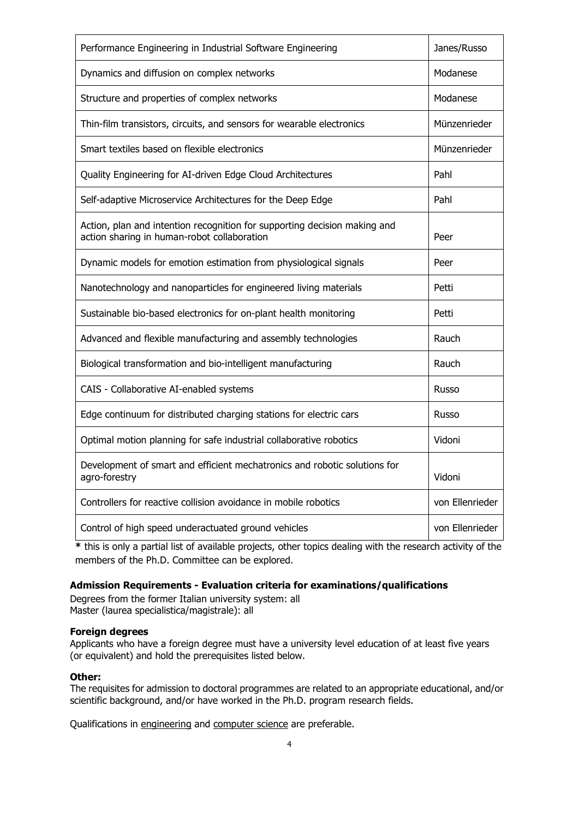| Performance Engineering in Industrial Software Engineering                                                               | Janes/Russo     |
|--------------------------------------------------------------------------------------------------------------------------|-----------------|
| Dynamics and diffusion on complex networks                                                                               | Modanese        |
| Structure and properties of complex networks                                                                             | Modanese        |
| Thin-film transistors, circuits, and sensors for wearable electronics                                                    | Münzenrieder    |
| Smart textiles based on flexible electronics                                                                             | Münzenrieder    |
| Quality Engineering for AI-driven Edge Cloud Architectures                                                               | Pahl            |
| Self-adaptive Microservice Architectures for the Deep Edge                                                               | Pahl            |
| Action, plan and intention recognition for supporting decision making and<br>action sharing in human-robot collaboration | Peer            |
| Dynamic models for emotion estimation from physiological signals                                                         | Peer            |
| Nanotechnology and nanoparticles for engineered living materials                                                         | Petti           |
| Sustainable bio-based electronics for on-plant health monitoring                                                         | Petti           |
| Advanced and flexible manufacturing and assembly technologies                                                            | Rauch           |
| Biological transformation and bio-intelligent manufacturing                                                              | Rauch           |
| CAIS - Collaborative AI-enabled systems                                                                                  | Russo           |
| Edge continuum for distributed charging stations for electric cars                                                       | Russo           |
| Optimal motion planning for safe industrial collaborative robotics                                                       | Vidoni          |
| Development of smart and efficient mechatronics and robotic solutions for<br>agro-forestry                               | Vidoni          |
| Controllers for reactive collision avoidance in mobile robotics                                                          | von Ellenrieder |
| Control of high speed underactuated ground vehicles                                                                      | von Ellenrieder |

**\*** this is only a partial list of available projects, other topics dealing with the research activity of the members of the Ph.D. Committee can be explored.

### **Admission Requirements - Evaluation criteria for examinations/qualifications**

Degrees from the former Italian university system: all Master (laurea specialistica/magistrale): all

#### **Foreign degrees**

Applicants who have a foreign degree must have a university level education of at least five years (or equivalent) and hold the prerequisites listed below.

#### **Other:**

The requisites for admission to doctoral programmes are related to an appropriate educational, and/or scientific background, and/or have worked in the Ph.D. program research fields.

Qualifications in engineering and computer science are preferable.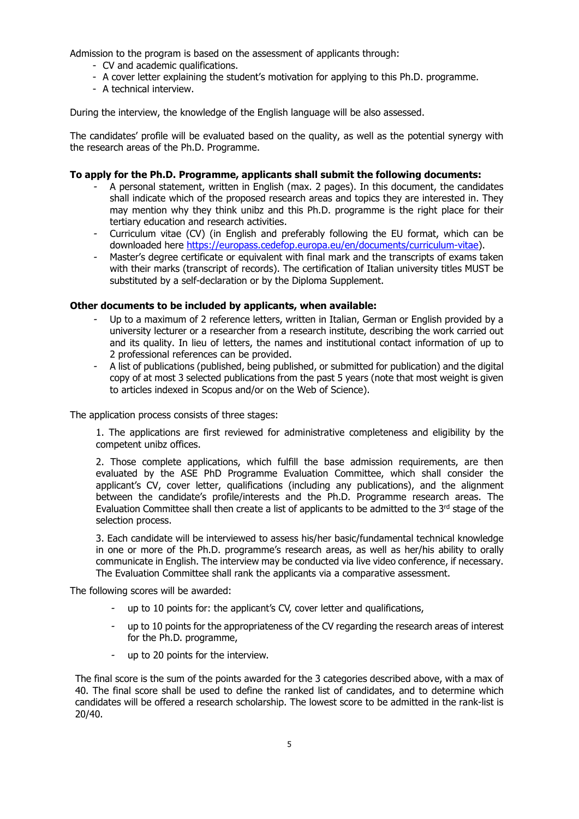Admission to the program is based on the assessment of applicants through:

- CV and academic qualifications.
- A cover letter explaining the student's motivation for applying to this Ph.D. programme.
- A technical interview.

During the interview, the knowledge of the English language will be also assessed.

The candidates' profile will be evaluated based on the quality, as well as the potential synergy with the research areas of the Ph.D. Programme.

#### **To apply for the Ph.D. Programme, applicants shall submit the following documents:**

- A personal statement, written in English (max. 2 pages). In this document, the candidates shall indicate which of the proposed research areas and topics they are interested in. They may mention why they think unibz and this Ph.D. programme is the right place for their tertiary education and research activities.
- Curriculum vitae (CV) (in English and preferably following the EU format, which can be downloaded here [https://europass.cedefop.europa.eu/en/documents/curriculum-vitae\)](https://europass.cedefop.europa.eu/en/documents/curriculum-vitae).
- Master's degree certificate or equivalent with final mark and the transcripts of exams taken with their marks (transcript of records). The certification of Italian university titles MUST be substituted by a self-declaration or by the Diploma Supplement.

### **Other documents to be included by applicants, when available:**

- Up to a maximum of 2 reference letters, written in Italian, German or English provided by a university lecturer or a researcher from a research institute, describing the work carried out and its quality. In lieu of letters, the names and institutional contact information of up to 2 professional references can be provided.
- A list of publications (published, being published, or submitted for publication) and the digital copy of at most 3 selected publications from the past 5 years (note that most weight is given to articles indexed in Scopus and/or on the Web of Science).

The application process consists of three stages:

1. The applications are first reviewed for administrative completeness and eligibility by the competent unibz offices.

2. Those complete applications, which fulfill the base admission requirements, are then evaluated by the ASE PhD Programme Evaluation Committee, which shall consider the applicant's CV, cover letter, qualifications (including any publications), and the alignment between the candidate's profile/interests and the Ph.D. Programme research areas. The Evaluation Committee shall then create a list of applicants to be admitted to the  $3<sup>rd</sup>$  stage of the selection process.

3. Each candidate will be interviewed to assess his/her basic/fundamental technical knowledge in one or more of the Ph.D. programme's research areas, as well as her/his ability to orally communicate in English. The interview may be conducted via live video conference, if necessary. The Evaluation Committee shall rank the applicants via a comparative assessment.

The following scores will be awarded:

- up to 10 points for: the applicant's CV, cover letter and qualifications,
- up to 10 points for the appropriateness of the CV regarding the research areas of interest for the Ph.D. programme,
- up to 20 points for the interview.

The final score is the sum of the points awarded for the 3 categories described above, with a max of 40. The final score shall be used to define the ranked list of candidates, and to determine which candidates will be offered a research scholarship. The lowest score to be admitted in the rank-list is 20/40.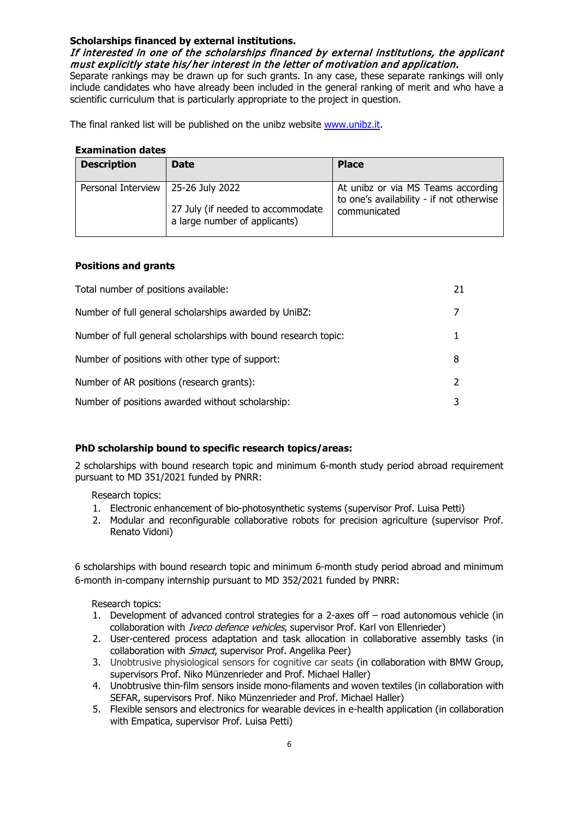### **Scholarships financed by external institutions.**

### If interested in one of the scholarships financed by external institutions, the applicant must explicitly state his/her interest in the letter of motivation and application.

Separate rankings may be drawn up for such grants. In any case, these separate rankings will only include candidates who have already been included in the general ranking of merit and who have a scientific curriculum that is particularly appropriate to the project in question.

The final ranked list will be published on the unibz website [www.unibz.it.](http://www.unibz.it/)

#### **Examination dates**

| <b>Description</b>                   | <b>Date</b>                                                        | <b>Place</b>                                                                                   |
|--------------------------------------|--------------------------------------------------------------------|------------------------------------------------------------------------------------------------|
| Personal Interview   25-26 July 2022 | 27 July (if needed to accommodate<br>a large number of applicants) | At unibz or via MS Teams according<br>to one's availability - if not otherwise<br>communicated |

### **Positions and grants**

| Total number of positions available:                           | 21 |
|----------------------------------------------------------------|----|
| Number of full general scholarships awarded by UniBZ:          |    |
| Number of full general scholarships with bound research topic: |    |
| Number of positions with other type of support:                | 8  |
| Number of AR positions (research grants):                      |    |
| Number of positions awarded without scholarship:               | 3  |

### **PhD scholarship bound to specific research topics/areas:**

2 scholarships with bound research topic and minimum 6-month study period abroad requirement pursuant to MD 351/2021 funded by PNRR:

Research topics:

- 1. Electronic enhancement of bio-photosynthetic systems (supervisor Prof. Luisa Petti)
- 2. Modular and reconfigurable collaborative robots for precision agriculture (supervisor Prof. Renato Vidoni)

6 scholarships with bound research topic and minimum 6-month study period abroad and minimum 6-month in-company internship pursuant to MD 352/2021 funded by PNRR:

Research topics:

- 1. Development of advanced control strategies for a 2-axes off road autonomous vehicle (in collaboration with *Iveco defence vehicles*, supervisor Prof. Karl von Ellenrieder)
- 2. User-centered process adaptation and task allocation in collaborative assembly tasks (in collaboration with *Smact*, supervisor Prof. Angelika Peer)
- 3. Unobtrusive physiological sensors for cognitive car seats (in collaboration with BMW Group, supervisors Prof. Niko Münzenrieder and Prof. Michael Haller)
- 4. Unobtrusive thin-film sensors inside mono-filaments and woven textiles (in collaboration with SEFAR, supervisors Prof. Niko Münzenrieder and Prof. Michael Haller)
- 5. Flexible sensors and electronics for wearable devices in e-health application (in collaboration with Empatica, supervisor Prof. Luisa Petti)